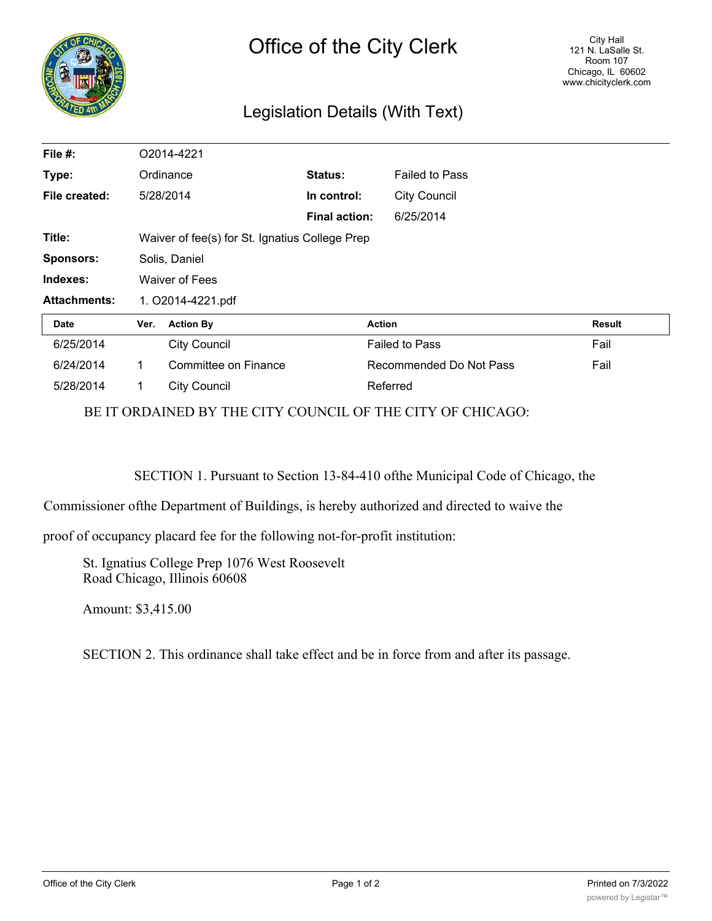

## Legislation Details (With Text)

| File #:             | O2014-4221                                     |                      |                      |                         |               |
|---------------------|------------------------------------------------|----------------------|----------------------|-------------------------|---------------|
| Type:               | Ordinance                                      |                      | Status:              | <b>Failed to Pass</b>   |               |
| File created:       |                                                | 5/28/2014            | In control:          | <b>City Council</b>     |               |
|                     |                                                |                      | <b>Final action:</b> | 6/25/2014               |               |
| Title:              | Waiver of fee(s) for St. Ignatius College Prep |                      |                      |                         |               |
| <b>Sponsors:</b>    | Solis, Daniel                                  |                      |                      |                         |               |
| Indexes:            | <b>Waiver of Fees</b>                          |                      |                      |                         |               |
| <b>Attachments:</b> | 1. O2014-4221.pdf                              |                      |                      |                         |               |
| Date                | Ver.                                           | <b>Action By</b>     |                      | <b>Action</b>           | <b>Result</b> |
| 6/25/2014           |                                                | <b>City Council</b>  |                      | <b>Failed to Pass</b>   | Fail          |
| 6/24/2014           | 1                                              | Committee on Finance |                      | Recommended Do Not Pass | Fail          |
| 5/28/2014           | 1                                              | <b>City Council</b>  |                      | Referred                |               |

BE IT ORDAINED BY THE CITY COUNCIL OF THE CITY OF CHICAGO:

SECTION 1. Pursuant to Section 13-84-410 ofthe Municipal Code of Chicago, the

Commissioner ofthe Department of Buildings, is hereby authorized and directed to waive the

proof of occupancy placard fee for the following not-for-profit institution:

St. Ignatius College Prep 1076 West Roosevelt Road Chicago, Illinois 60608

Amount: \$3,415.00

SECTION 2. This ordinance shall take effect and be in force from and after its passage.